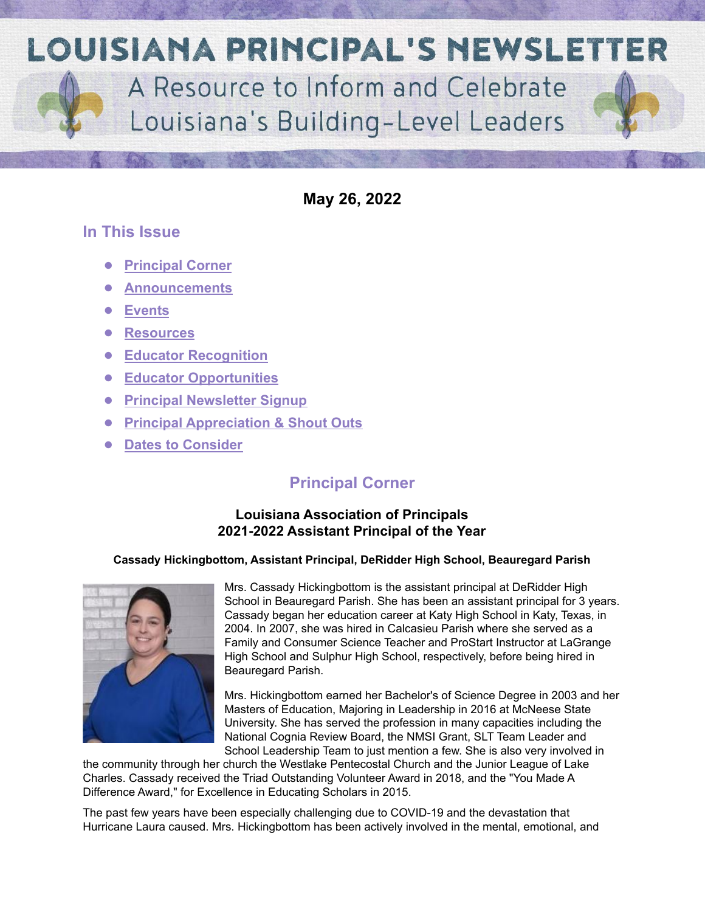**LOUISIANA PRINCIPAL'S NEWSLETTER** A Resource to Inform and Celebrate Louisiana's Building-Level Leaders

**May 26, 2022**

## **In This Issue**

- **● [Principal Corner](#page-0-0)**
- **● [Announcements](#page-1-0)**
- **● [Events](#page-3-0)**
- **● [Resources](#page-3-1)**
- **● [Educator Recognition](#page-7-0)**
- **● [Educator Opportunities](#page-8-0)**
- **● [Principal Newsletter Signup](#page-8-1)**
- **● [Principal Appreciation & Shout Outs](#page-9-0)**
- <span id="page-0-0"></span>**● [Dates to Consider](#page-10-0)**

# **Principal Corner**

### **Louisiana Association of Principals 2021-2022 Assistant Principal of the Year**

#### **Cassady Hickingbottom, Assistant Principal, DeRidder High School, Beauregard Parish**



Mrs. Cassady Hickingbottom is the assistant principal at DeRidder High School in Beauregard Parish. She has been an assistant principal for 3 years. Cassady began her education career at Katy High School in Katy, Texas, in 2004. In 2007, she was hired in Calcasieu Parish where she served as a Family and Consumer Science Teacher and ProStart Instructor at LaGrange High School and Sulphur High School, respectively, before being hired in Beauregard Parish.

Mrs. Hickingbottom earned her Bachelor's of Science Degree in 2003 and her Masters of Education, Majoring in Leadership in 2016 at McNeese State University. She has served the profession in many capacities including the National Cognia Review Board, the NMSI Grant, SLT Team Leader and School Leadership Team to just mention a few. She is also very involved in

the community through her church the Westlake Pentecostal Church and the Junior League of Lake Charles. Cassady received the Triad Outstanding Volunteer Award in 2018, and the "You Made A Difference Award," for Excellence in Educating Scholars in 2015.

The past few years have been especially challenging due to COVID-19 and the devastation that Hurricane Laura caused. Mrs. Hickingbottom has been actively involved in the mental, emotional, and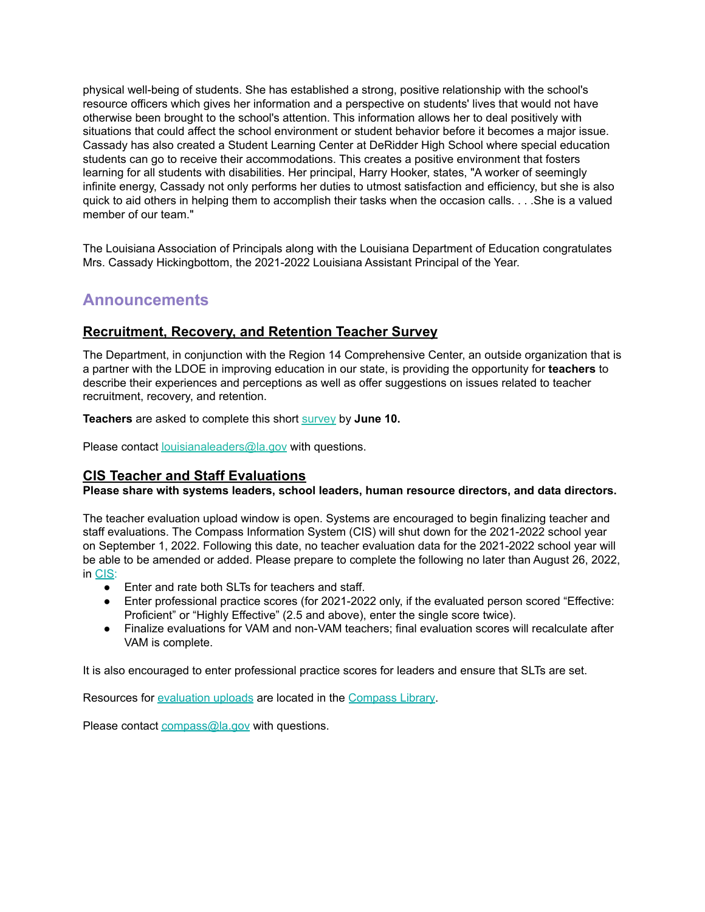physical well-being of students. She has established a strong, positive relationship with the school's resource officers which gives her information and a perspective on students' lives that would not have otherwise been brought to the school's attention. This information allows her to deal positively with situations that could affect the school environment or student behavior before it becomes a major issue. Cassady has also created a Student Learning Center at DeRidder High School where special education students can go to receive their accommodations. This creates a positive environment that fosters learning for all students with disabilities. Her principal, Harry Hooker, states, "A worker of seemingly infinite energy, Cassady not only performs her duties to utmost satisfaction and efficiency, but she is also quick to aid others in helping them to accomplish their tasks when the occasion calls. . . .She is a valued member of our team."

The Louisiana Association of Principals along with the Louisiana Department of Education congratulates Mrs. Cassady Hickingbottom, the 2021-2022 Louisiana Assistant Principal of the Year.

## <span id="page-1-0"></span>**Announcements**

#### **Recruitment, Recovery, and Retention Teacher Survey**

The Department, in conjunction with the Region 14 Comprehensive Center, an outside organization that is a partner with the LDOE in improving education in our state, is providing the opportunity for **teachers** to describe their experiences and perceptions as well as offer suggestions on issues related to teacher recruitment, recovery, and retention.

**Teachers** are asked to complete this short [survey](https://survey.alchemer.com/s3/6839519/Region-14-CC-Teacher-Recruitment-Retention-and-Recovery-Survey) by **June 10.**

Please contact [louisianaleaders@la.gov](mailto:louisianaleaders@la.gov) with questions.

#### **CIS Teacher and Staff Evaluations**

#### **Please share with systems leaders, school leaders, human resource directors, and data directors.**

The teacher evaluation upload window is open. Systems are encouraged to begin finalizing teacher and staff evaluations. The Compass Information System (CIS) will shut down for the 2021-2022 school year on September 1, 2022. Following this date, no teacher evaluation data for the 2021-2022 school year will be able to be amended or added. Please prepare to complete the following no later than August 26, 2022, in [CIS](https://leads13.doe.louisiana.gov/hcs/FrameWork.aspx):

- Enter and rate both SLTs for teachers and staff.
- Enter professional practice scores (for 2021-2022 only, if the evaluated person scored "Effective: Proficient" or "Highly Effective" (2.5 and above), enter the single score twice).
- Finalize evaluations for VAM and non-VAM teachers; final evaluation scores will recalculate after VAM is complete.

It is also encouraged to enter professional practice scores for leaders and ensure that SLTs are set.

Resources for [evaluation](https://www.louisianabelieves.com/docs/default-source/teaching/compass-information-system-evaluation-upload-guide.pdf?sfvrsn=2c216718_8) uploads are located in the [Compass](https://www.louisianabelieves.com/resources/library/compass) Library.

Please contact [compass@la.gov](mailto:compass@la.gov) with questions.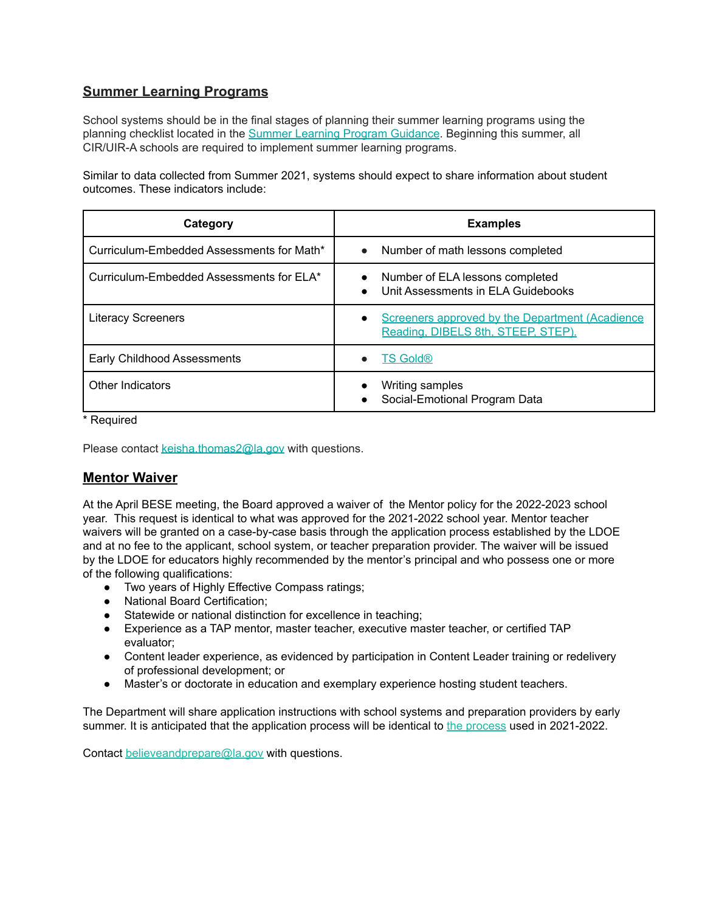## **Summer Learning Programs**

School systems should be in the final stages of planning their summer learning programs using the planning checklist located in the Summer Learning Program [Guidance](https://www.louisianabelieves.com/docs/default-source/academics/summer-learning-program-guidance-2021.pdf?sfvrsn=9f5a6618_2). Beginning this summer, all CIR/UIR-A schools are required to implement summer learning programs.

Similar to data collected from Summer 2021, systems should expect to share information about student outcomes. These indicators include:

| Category                                  | <b>Examples</b>                                                                                    |
|-------------------------------------------|----------------------------------------------------------------------------------------------------|
| Curriculum-Embedded Assessments for Math* | Number of math lessons completed<br>$\bullet$                                                      |
| Curriculum-Embedded Assessments for ELA*  | Number of ELA lessons completed<br>Unit Assessments in ELA Guidebooks<br>$\bullet$                 |
| <b>Literacy Screeners</b>                 | Screeners approved by the Department (Acadience<br>$\bullet$<br>Reading, DIBELS 8th, STEEP, STEP). |
| Early Childhood Assessments               | <b>TS Gold®</b>                                                                                    |
| Other Indicators                          | Writing samples<br>Social-Emotional Program Data                                                   |

\* Required

Please contact [keisha.thomas2@la.gov](mailto:Keisha.Thomas2@la.gov) with questions.

#### **Mentor Waiver**

At the April BESE meeting, the Board approved a waiver of the Mentor policy for the 2022-2023 school year. This request is identical to what was approved for the 2021-2022 school year. Mentor teacher waivers will be granted on a case-by-case basis through the application process established by the LDOE and at no fee to the applicant, school system, or teacher preparation provider. The waiver will be issued by the LDOE for educators highly recommended by the mentor's principal and who possess one or more of the following qualifications:

- Two years of Highly Effective Compass ratings;
- National Board Certification;
- Statewide or national distinction for excellence in teaching;
- Experience as a TAP mentor, master teacher, executive master teacher, or certified TAP evaluator;
- Content leader experience, as evidenced by participation in Content Leader training or redelivery of professional development; or
- Master's or doctorate in education and exemplary experience hosting student teachers.

The Department will share application instructions with school systems and preparation providers by early summer. It is anticipated that the application [process](https://www.louisianabelieves.com/docs/default-source/professional-development/2021-2022-mentor-waiver-application-guide.pdf?sfvrsn=ad6c6718_2) will be identical to the process used in 2021-2022.

Contact [believeandprepare@la.gov](mailto:believeandprepare@la.gov) with questions.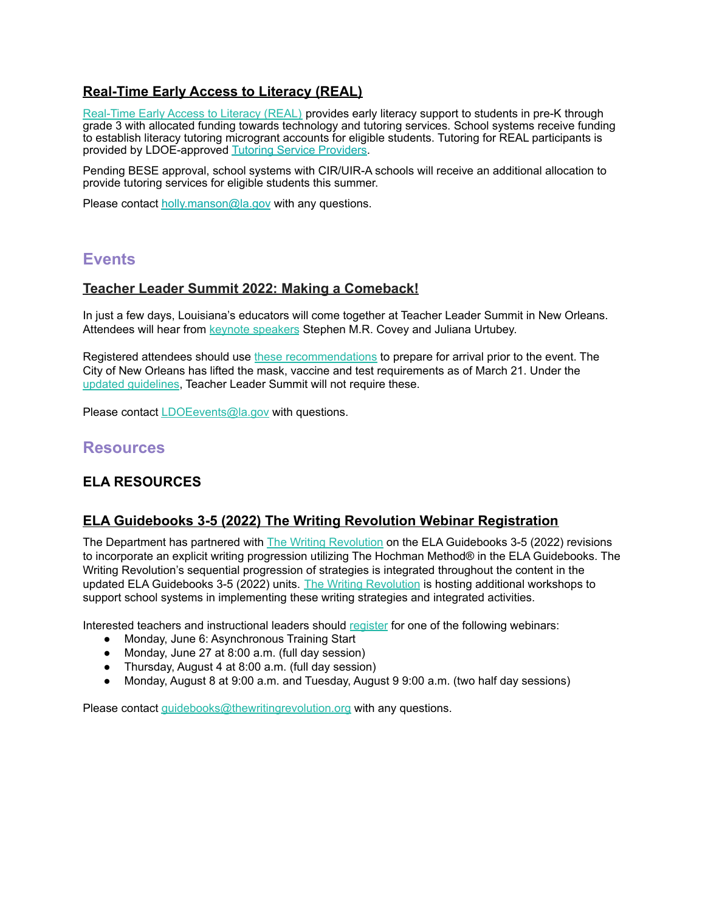## **Real-Time Early Access to Literacy (REAL)**

[Real-Time](https://www.louisianabelieves.com/academics/real-time-early-access-to-literacy) Early Access to Literacy (REAL) provides early literacy support to students in pre-K through grade 3 with allocated funding towards technology and tutoring services. School systems receive funding to establish literacy tutoring microgrant accounts for eligible students. Tutoring for REAL participants is provided by LDOE-approved Tutoring Service [Providers.](https://www.louisianabelieves.com/docs/default-source/district-support/real-tutoring-service-provider-guide.pdf?sfvrsn=c5266618_12)

Pending BESE approval, school systems with CIR/UIR-A schools will receive an additional allocation to provide tutoring services for eligible students this summer.

Please contact holly manson@la.gov with any questions.

## <span id="page-3-0"></span>**Events**

#### **Teacher Leader Summit 2022: Making a Comeback!**

In just a few days, Louisiana's educators will come together at Teacher Leader Summit in New Orleans. Attendees will hear from **keynote [speakers](https://www.louisianabelieves.com/newsroom/news-releases/release/2022/04/11/louisiana-department-of-education-announces-keynote-speakers-for-2022-teacher-leader-summit) Stephen M.R. Covey and Juliana Urtubey.** 

Registered attendees should use these [recommendations](https://www.louisianabelieves.com/docs/default-source/2022-teacher-leader-summit/prepare-for-arrival---tl-summit-2022.pdf) to prepare for arrival prior to the event. The City of New Orleans has lifted the mask, vaccine and test requirements as of March 21. Under th[e](https://ready.nola.gov/incident/coronavirus/safe-reopening/) updated [guidelines,](https://ready.nola.gov/incident/coronavirus/safe-reopening/) Teacher Leader Summit will not require these.

Please contact [LDOEevents@la.gov](mailto:LDOEevents@la.gov) with questions.

## <span id="page-3-1"></span>**Resources**

### **ELA RESOURCES**

#### **ELA Guidebooks 3-5 (2022) The Writing Revolution Webinar Registration**

The Department has partnered with The Writing [Revolution](https://www.thewritingrevolution.org/) on the ELA Guidebooks 3-5 (2022) revisions to incorporate an explicit writing progression utilizing The Hochman Method® in the ELA Guidebooks. The Writing Revolution's sequential progression of strategies is integrated throughout the content in the updated ELA Guidebooks 3-5 (2022) units. The Writing [Revolution](https://www.thewritingrevolution.org/) is hosting additional workshops to support school systems in implementing these writing strategies and integrated activities.

Interested teachers and instructional leaders should [register](https://www.tfaforms.com/4966949) for one of the following webinars:

- Monday, June 6: Asynchronous Training Start
- Monday, June 27 at 8:00 a.m. (full day session)
- Thursday, August 4 at 8:00 a.m. (full day session)
- Monday, August 8 at 9:00 a.m. and Tuesday, August 9 9:00 a.m. (two half day sessions)

Please contact *quidebooks@thewritingrevolution.org* with any questions.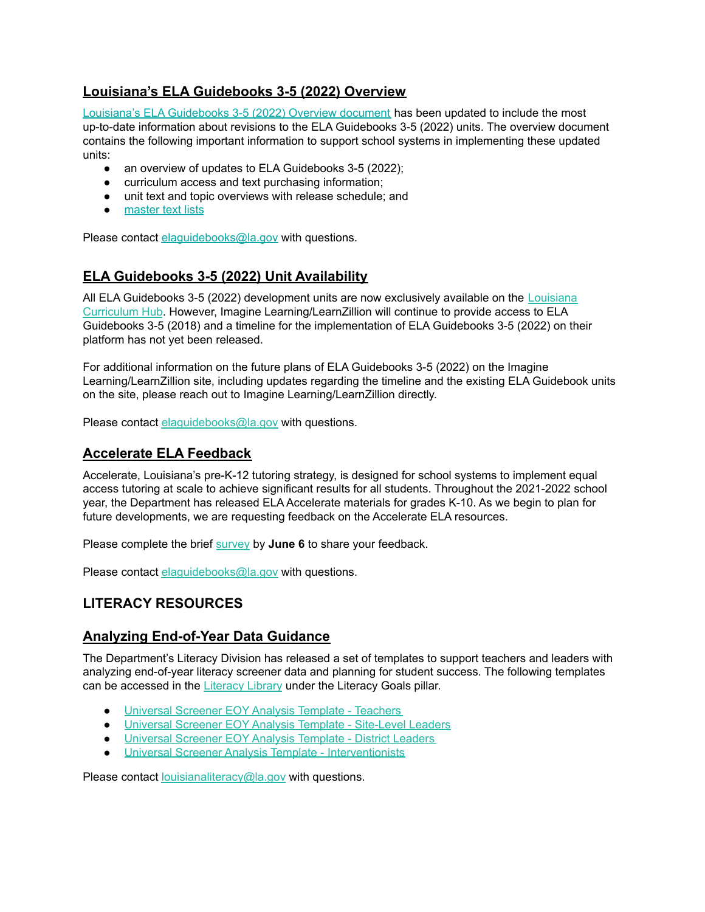### **Louisiana's ELA Guidebooks 3-5 (2022) Overview**

Louisiana's ELA [Guidebooks](https://www.louisianabelieves.com/docs/default-source/teacher-toolbox-resources/ela-guidebooks-3-5-(2022)-overview-document.pdf?sfvrsn=2b0a6518_5) 3-5 (2022) Overview document has been updated to include the most up-to-date information about revisions to the ELA Guidebooks 3-5 (2022) units. The overview document contains the following important information to support school systems in implementing these updated units:

- an overview of updates to ELA Guidebooks 3-5 (2022);
- curriculum access and text purchasing information;
- unit text and topic overviews with release schedule; and
- [master](https://www.louisianabelieves.com/docs/default-source/teacher-toolbox-resources/louisiana) text lists

Please contact elaquidebooks@la.gov with questions.

#### **ELA Guidebooks 3-5 (2022) Unit Availability**

All ELA Guidebooks 3-5 (2022) development units are now exclusively available on the [Louisiana](https://louisianacurriculumhub.com/) [Curriculum](https://louisianacurriculumhub.com/) Hub. However, Imagine Learning/LearnZillion will continue to provide access to ELA Guidebooks 3-5 (2018) and a timeline for the implementation of ELA Guidebooks 3-5 (2022) on their platform has not yet been released.

For additional information on the future plans of ELA Guidebooks 3-5 (2022) on the Imagine Learning/LearnZillion site, including updates regarding the timeline and the existing ELA Guidebook units on the site, please reach out to Imagine Learning/LearnZillion directly.

Please contact elaquidebooks@la.gov with questions.

#### **Accelerate ELA Feedback**

Accelerate, Louisiana's pre-K-12 tutoring strategy, is designed for school systems to implement equal access tutoring at scale to achieve significant results for all students. Throughout the 2021-2022 school year, the Department has released ELA Accelerate materials for grades K-10. As we begin to plan for future developments, we are requesting feedback on the Accelerate ELA resources.

Please complete the brief [survey](https://forms.gle/K1uee8XD86NcXVjr9) by **June 6** to share your feedback.

Please contact [elaguidebooks@la.gov](mailto:elaguidebooks@la.gov) with questions.

#### **LITERACY RESOURCES**

#### **Analyzing End-of-Year Data Guidance**

The Department's Literacy Division has released a set of templates to support teachers and leaders with analyzing end-of-year literacy screener data and planning for student success. The following templates can be accessed in the [Literacy](https://www.louisianabelieves.com/resources/library/literacy-library) Library under the Literacy Goals pillar.

- [Universal](https://www.louisianabelieves.com/docs/default-source/literacy/universal-screener-eoy-analysis-template---teacher.pdf) Screener EOY Analysis Template Teachers
- Universal Screener EOY Analysis Template [Site-Level](https://www.louisianabelieves.com/docs/default-source/literacy/universal-screener-eoy-analysis-template---site-level-leader.pdf) Leaders
- [Universal](https://www.louisianabelieves.com/docs/default-source/literacy/universal-screener-eoy-analysis-template---district-level-leader.pdf) Screener EOY Analysis Template District Leaders
- Universal Screener Analysis Template [Interventionists](https://www.louisianabelieves.com/docs/default-source/literacy/universal-screener-analysis-template---interventionist.pdf)

Please contact **[louisianaliteracy@la.gov](mailto:louisianaliteracy@la.gov)** with questions.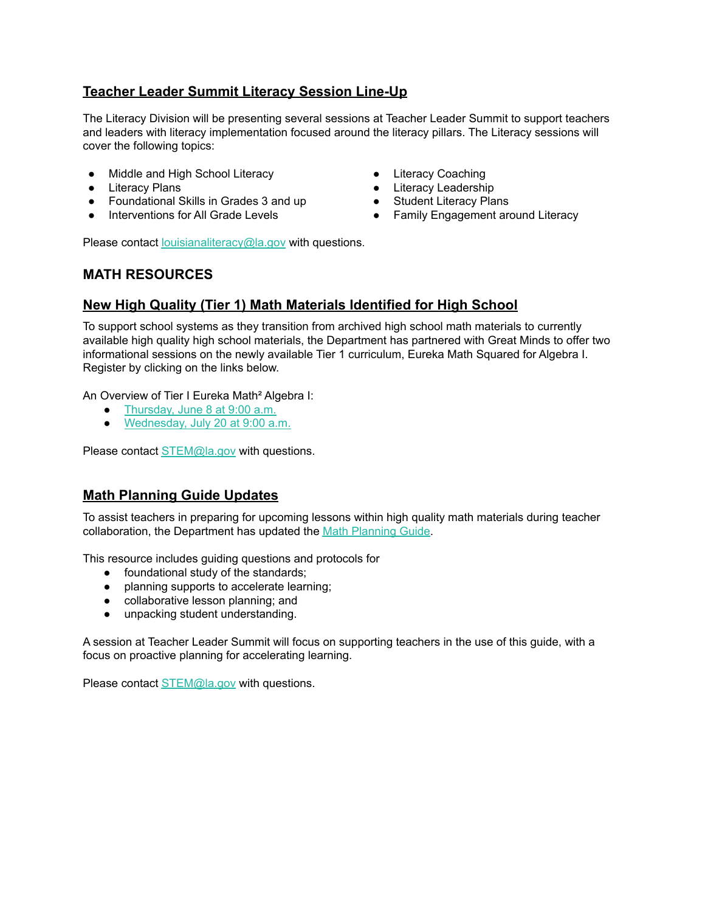### **Teacher Leader Summit Literacy Session Line-Up**

The Literacy Division will be presenting several sessions at Teacher Leader Summit to support teachers and leaders with literacy implementation focused around the literacy pillars. The Literacy sessions will cover the following topics:

- Middle and High School Literacy
- Literacy Plans
- Foundational Skills in Grades 3 and up
- Interventions for All Grade Levels
- Literacy Coaching
- Literacy Leadership
- Student Literacy Plans
- Family Engagement around Literacy

Please contact [louisianaliteracy@la.gov](mailto:louisianaliteracy@la.gov) with questions.

#### **MATH RESOURCES**

#### **New High Quality (Tier 1) Math Materials Identified for High School**

To support school systems as they transition from archived high school math materials to currently available high quality high school materials, the Department has partnered with Great Minds to offer two informational sessions on the newly available Tier 1 curriculum, Eureka Math Squared for Algebra I. Register by clicking on the links below.

An Overview of Tier I Eureka Math² Algebra I:

- [Thursday,](https://greatminds.zoom.us/meeting/register/tJYsduispzguE9VM62ZtyzihCDuuIexHE2GP) June 8 at 9:00 a.m.
- [Wednesday,](https://greatminds.zoom.us/meeting/register/tJwkd-isqjIiHdUZtc0bfD3PgRcpBoTR4kcc) July 20 at 9:00 a.m.

Please contact [STEM@la.gov](mailto:STEM@la.gov) with questions.

#### **Math Planning Guide Updates**

To assist teachers in preparing for upcoming lessons within high quality math materials during teacher collaboration, the Department has updated the Math [Planning](https://www.louisianabelieves.com/docs/default-source/year-long-planning/math-planning-guide.pdf?sfvrsn=f4e16618_2) Guide.

This resource includes guiding questions and protocols for

- foundational study of the standards;
- planning supports to accelerate learning;
- collaborative lesson planning; and
- unpacking student understanding.

A session at Teacher Leader Summit will focus on supporting teachers in the use of this guide, with a focus on proactive planning for accelerating learning.

Please contact **[STEM@la.gov](mailto:STEM@la.gov)** with questions.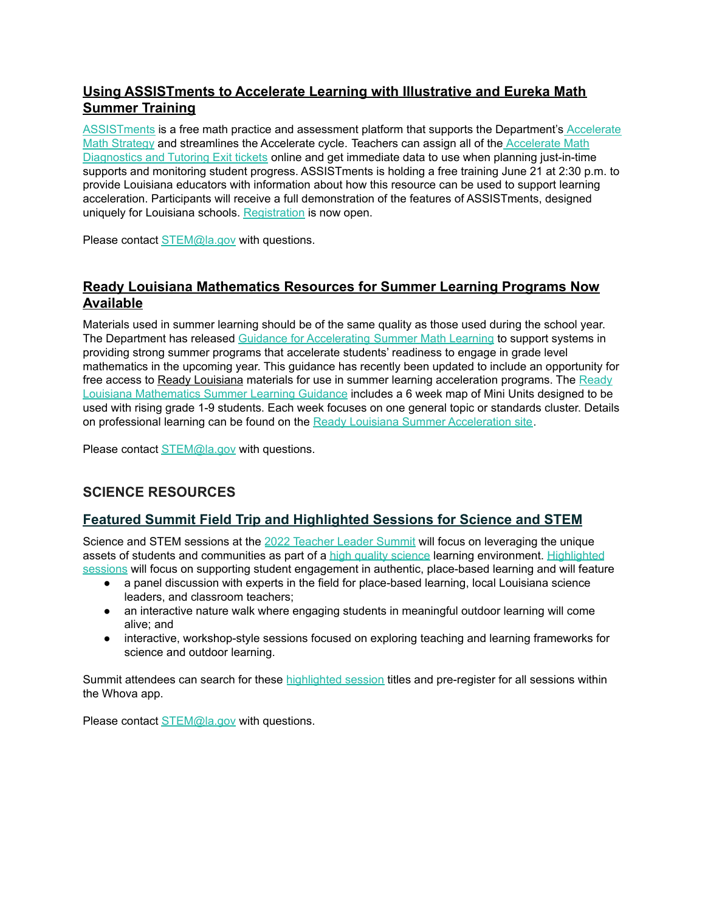### **Using ASSISTments to Accelerate Learning with Illustrative and Eureka Math Summer Training**

[ASSISTments](https://new.assistments.org/) is a free math practice and assessment platform that supports the Department's [Accelerate](https://www.louisianabelieves.com/docs/default-source/accelerate/accelerate-math.pdf?sfvrsn=433c6618_30) Math [Strategy](https://www.louisianabelieves.com/docs/default-source/accelerate/accelerate-math.pdf?sfvrsn=433c6618_30) and streamlines the Accelerate cycle. Teachers can assign all of the [Accelerate](https://drive.google.com/file/d/1zDA-MYmqf6aJ50cHcnn2tAj_Y7cOI7GC/view) Math [Diagnostics](https://drive.google.com/file/d/1zDA-MYmqf6aJ50cHcnn2tAj_Y7cOI7GC/view) and Tutoring Exit tickets online and get immediate data to use when planning just-in-time supports and monitoring student progress. ASSISTments is holding a free training June 21 at 2:30 p.m. to provide Louisiana educators with information about how this resource can be used to support learning acceleration. Participants will receive a full demonstration of the features of ASSISTments, designed uniquely for Louisiana schools. [Registration](https://share.hsforms.com/1KfLOmnnSSM6jvrEB9Grhaw5n36v) is now open.

Please contact [STEM@la.gov](mailto:STEM@la.gov) with questions.

#### **Ready Louisiana Mathematics Resources for Summer Learning Programs Now Available**

Materials used in summer learning should be of the same quality as those used during the school year. The Department has released Guidance for [Accelerating](https://louisianabelieves.com/docs/default-source/accelerate/accelerate-math-summer-learning-2022.pdf?sfvrsn=7f746418_18) Summer Math Learning to support systems in providing strong summer programs that accelerate students' readiness to engage in grade level mathematics in the upcoming year. This guidance has recently been updated to include an opportunity for free access to Ready [Louisiana](https://www.curriculumassociates.com/programs/i-ready-learning/teacher-toolbox/louisiana-toolbox-summer-school-abm) materials for use in summer learning acceleration programs. The [Ready](https://www.curriculumassociates.com/-/media/mainsite/files/ready/ready-mathematics-louisiana-guidance-for-summer-learning-2022.pdf) Louisiana [Mathematics](https://www.curriculumassociates.com/-/media/mainsite/files/ready/ready-mathematics-louisiana-guidance-for-summer-learning-2022.pdf) Summer Learning Guidance includes a 6 week map of Mini Units designed to be used with rising grade 1-9 students. Each week focuses on one general topic or standards cluster. Details on professional learning can be found on the Ready Louisiana Summer [Acceleration](https://www.curriculumassociates.com/programs/i-ready-learning/teacher-toolbox/louisiana-toolbox-summer-school-abm) site.

Please contact **[STEM@la.gov](mailto:STEM@la.gov)** with questions.

#### **SCIENCE RESOURCES**

#### **Featured Summit Field Trip and Highlighted Sessions for Science and STEM**

Science and STEM sessions at the 2022 [Teacher](https://louisianabelieves.com/resources/classroom-support/teacher-support-toolbox/teacher-leader-summit) Leader Summit will focus on leveraging the unique assets of students and communities as part of a high quality [science](https://www.louisianabelieves.com/docs/default-source/year-long-planning/high-quality-science-curriculum.pdf?sfvrsn=7d969a1f_14) learning environment. [Highlighted](https://docs.google.com/document/d/1RaVgvdaPO1UB4RPSZpy5hzsK4Vh7TbJZeWdGNJQp1-4/edit#) [sessions](https://docs.google.com/document/d/1RaVgvdaPO1UB4RPSZpy5hzsK4Vh7TbJZeWdGNJQp1-4/edit#) will focus on supporting student engagement in authentic, place-based learning and will feature

- a panel discussion with experts in the field for place-based learning, local Louisiana science leaders, and classroom teachers;
- an interactive nature walk where engaging students in meaningful outdoor learning will come alive; and
- interactive, workshop-style sessions focused on exploring teaching and learning frameworks for science and outdoor learning.

Summit attendees can search for these [highlighted](https://docs.google.com/document/d/1RaVgvdaPO1UB4RPSZpy5hzsK4Vh7TbJZeWdGNJQp1-4/edit#) session titles and pre-register for all sessions within the Whova app.

Please contact **[STEM@la.gov](mailto:STEM@la.gov)** with questions.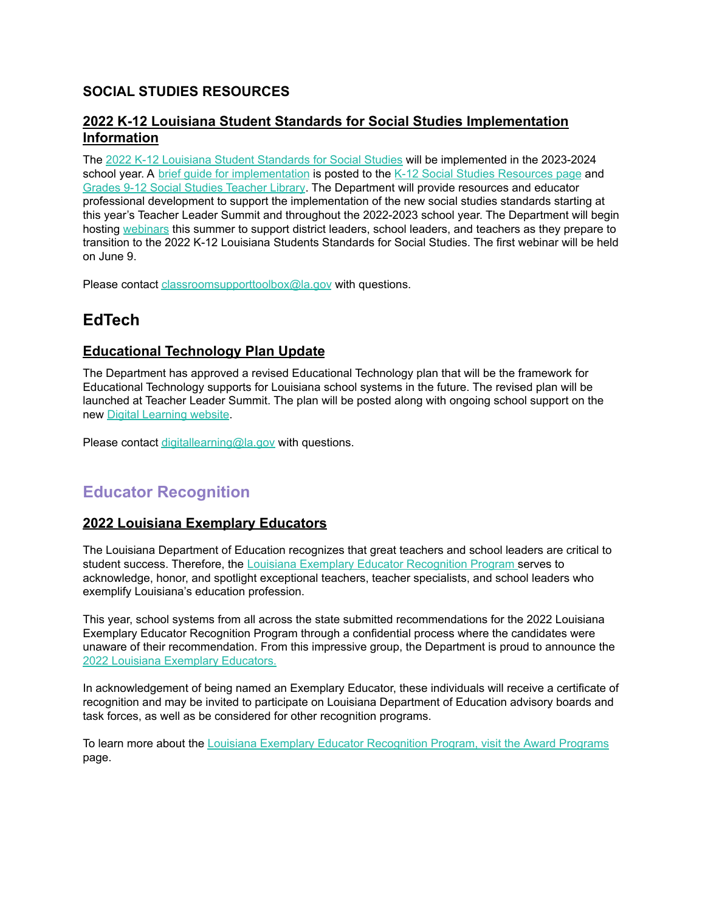## **SOCIAL STUDIES RESOURCES**

#### **2022 K-12 Louisiana Student Standards for Social Studies Implementation Information**

The 2022 K-12 Louisiana Student [Standards](https://www.louisianabelieves.com/docs/default-source/academic-curriculum/2022-k-12-louisiana-student-standards-for-social-studies.pdf?sfvrsn=df396518_4) for Social Studies will be implemented in the 2023-2024 school year. A brief quide for [implementation](https://www.louisianabelieves.com/docs/default-source/academic-curriculum/2022-louisiana-social-studies-standards-implementation-guidance.pdf?sfvrsn=d6016518_2) is posted to the K-12 Social Studies [Resources](https://www.louisianabelieves.com/resources/library/k-12-social-studies-resources) page and Grades 9-12 Social Studies [Teacher](https://www.louisianabelieves.com/resources/library/teacher-support-toolbox-library/9-12-grade-social-studies-teachers) Library. The Department will provide resources and educator professional development to support the implementation of the new social studies standards starting at this year's Teacher Leader Summit and throughout the 2022-2023 school year. The Department will begin hosting [webinars](https://www.louisianabelieves.com/docs/default-source/academic-curriculum/webinar-opportunities.pdf?sfvrsn=d4016518_2) this summer to support district leaders, school leaders, and teachers as they prepare to transition to the 2022 K-12 Louisiana Students Standards for Social Studies. The first webinar will be held on June 9.

Please contact [classroomsupporttoolbox@la.gov](mailto:classroomsupporttoolbox@la.gov) with questions.

## **EdTech**

### **Educational Technology Plan Update**

The Department has approved a revised Educational Technology plan that will be the framework for Educational Technology supports for Louisiana school systems in the future. The revised plan will be launched at Teacher Leader Summit. The plan will be posted along with ongoing school support on the new Digital [Learning](https://www.louisianabelieves.com/academics/digital-learning) website.

Please contact [digitallearning@la.gov](mailto:digitallearning@la.gov) with questions.

## <span id="page-7-0"></span>**Educator Recognition**

#### **2022 Louisiana Exemplary Educators**

The Louisiana Department of Education recognizes that great teachers and school leaders are critical to student success. Therefore, the Louisiana Exemplary Educator [Recognition](https://www.louisianabelieves.com/docs/default-source/key-initiatives/louisiana%27s-key-initiatives---exemplary-educator-recognition-program.pdf?sfvrsn=be856518_4) Program serves to acknowledge, honor, and spotlight exceptional teachers, teacher specialists, and school leaders who exemplify Louisiana's education profession.

This year, school systems from all across the state submitted recommendations for the 2022 Louisiana Exemplary Educator Recognition Program through a confidential process where the candidates were unaware of their recommendation. From this impressive group, the Department is proud to announce the 2022 Louisiana Exemplary [Educators.](https://www.louisianabelieves.com/docs/default-source/awards/2022-louisiana-exemplary-educators-announcement.pdf)

In acknowledgement of being named an Exemplary Educator, these individuals will receive a certificate of recognition and may be invited to participate on Louisiana Department of Education advisory boards and task forces, as well as be considered for other recognition programs.

To learn more about the Louisiana Exemplary Educator [Recognition](https://www.louisianabelieves.com/docs/default-source/key-initiatives/louisiana%27s-key-initiatives---exemplary-educator-recognition-program.pdf?sfvrsn=be856518_4) Program, visit the Award [Programs](https://www.louisianabelieves.com/academics/award-programs) page.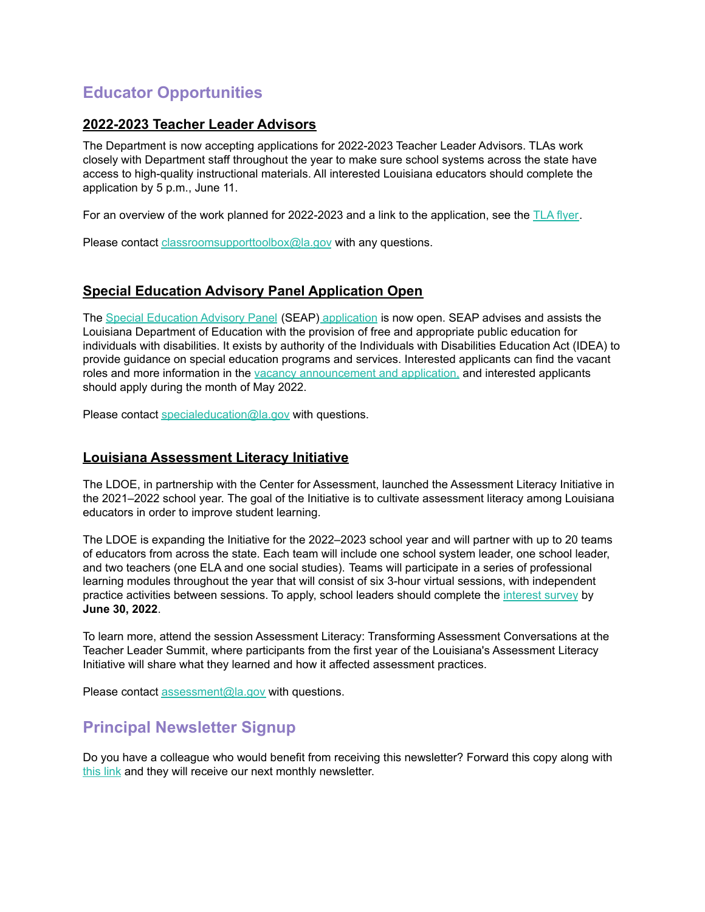## <span id="page-8-0"></span>**Educator Opportunities**

#### **2022-2023 Teacher Leader Advisors**

The Department is now accepting applications for 2022-2023 Teacher Leader Advisors. TLAs work closely with Department staff throughout the year to make sure school systems across the state have access to high-quality instructional materials. All interested Louisiana educators should complete the application by 5 p.m., June 11.

For an overview of the work planned for 2022-2023 and a link to the application, see the TLA [flyer](https://www.louisianabelieves.com/docs/default-source/louisiana-teacher-leaders/teacher-leader-advisor-flyer.pdf).

Please contact [classroomsupporttoolbox@la.gov](mailto:classroomsupporttoolbox@la.gov) with any questions.

#### **Special Education Advisory Panel Application Open**

The Special [Education](https://www.louisianabelieves.com/docs/default-source/academics/special-education-advisory-panel-(seap)-overview.pdf?sfvrsn=8bfd891f_42) Advisory Panel (SEAP) [application](https://www.louisianabelieves.com/docs/default-source/students-with-disabilities/seap-member-vacancy-announcement-and-application.pdf?sfvrsn=4ea76618_12) is now open. SEAP advises and assists the Louisiana Department of Education with the provision of free and appropriate public education for individuals with disabilities. It exists by authority of the Individuals with Disabilities Education Act (IDEA) to provide guidance on special education programs and services. Interested applicants can find the vacant roles and more information in the vacancy [announcement](https://www.louisianabelieves.com/docs/default-source/students-with-disabilities/seap-member-vacancy-announcement-and-application.pdf?sfvrsn=4ea76618_12) and application, and interested applicants should apply during the month of May 2022.

Please contact [specialeducation@la.gov](mailto:specialeducation@la.gov) with questions.

#### **Louisiana Assessment Literacy Initiative**

The LDOE, in partnership with the Center for Assessment, launched the Assessment Literacy Initiative in the 2021–2022 school year. The goal of the Initiative is to cultivate assessment literacy among Louisiana educators in order to improve student learning.

The LDOE is expanding the Initiative for the 2022–2023 school year and will partner with up to 20 teams of educators from across the state. Each team will include one school system leader, one school leader, and two teachers (one ELA and one social studies). Teams will participate in a series of professional learning modules throughout the year that will consist of six 3-hour virtual sessions, with independent practice activities between sessions. To apply, school leaders should complete the [interest](https://docs.google.com/forms/d/e/1FAIpQLSc8wPVFqk3Qb062CCda0bGbANSellkZSzrizltgLqMdvPPreQ/viewform?usp=sf_link) survey by **June 30, 2022**.

To learn more, attend the session Assessment Literacy: Transforming Assessment Conversations at the Teacher Leader Summit, where participants from the first year of the Louisiana's Assessment Literacy Initiative will share what they learned and how it affected assessment practices.

Please contact [assessment@la.gov](mailto:assessment@la.gov) with questions.

## <span id="page-8-1"></span>**Principal Newsletter Signup**

Do you have a colleague who would benefit from receiving this newsletter? Forward this copy along with [this](https://visitor.r20.constantcontact.com/manage/optin?v=001QKuSz0c7kgZyH7NsficRc3fehYIqiLczkCYo_RXQuMXUV25KfC4oAwh3PohezXKj6-of3iA4NNwTkWcb4YR5HHSHIfZ6XRb0yjIwZ62wQ0NGMDIZGEeW1_zpyRZ6pyN4ZVf6JRyTtWlKUGFMlpa-G0XGKhTObdkK) link and they will receive our next monthly newsletter.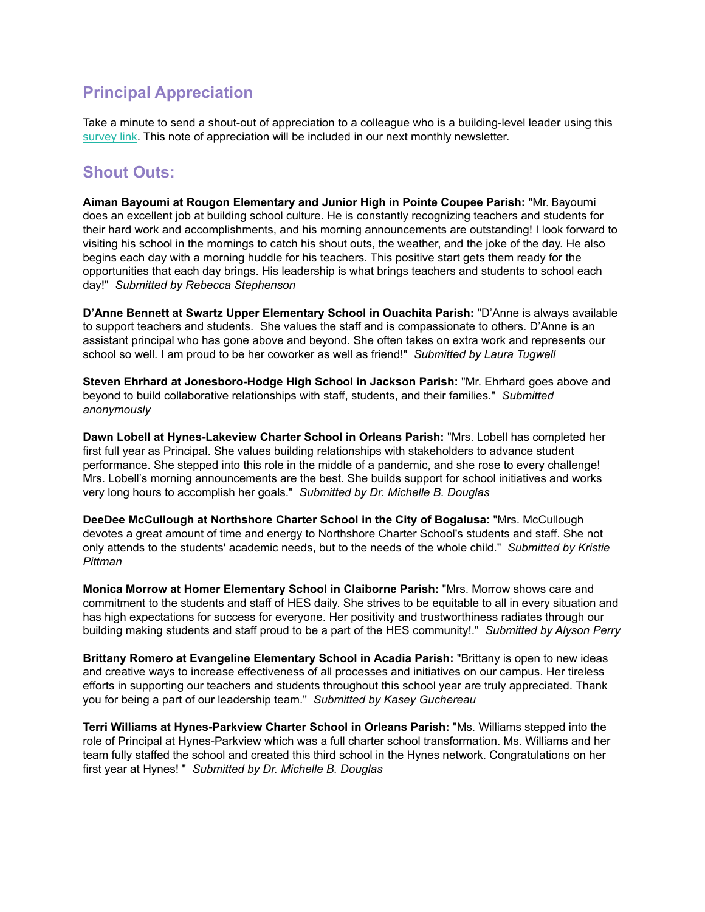## <span id="page-9-0"></span>**Principal Appreciation**

Take a minute to send a shout-out of appreciation to a colleague who is a building-level leader using this [survey](https://forms.gle/azgHb6Tk9vLD4V5t8) link. This note of appreciation will be included in our next monthly newsletter.

## **Shout Outs:**

**Aiman Bayoumi at Rougon Elementary and Junior High in Pointe Coupee Parish:** "Mr. Bayoumi does an excellent job at building school culture. He is constantly recognizing teachers and students for their hard work and accomplishments, and his morning announcements are outstanding! I look forward to visiting his school in the mornings to catch his shout outs, the weather, and the joke of the day. He also begins each day with a morning huddle for his teachers. This positive start gets them ready for the opportunities that each day brings. His leadership is what brings teachers and students to school each day!" *Submitted by Rebecca Stephenson*

**D'Anne Bennett at Swartz Upper Elementary School in Ouachita Parish:** "D'Anne is always available to support teachers and students. She values the staff and is compassionate to others. D'Anne is an assistant principal who has gone above and beyond. She often takes on extra work and represents our school so well. I am proud to be her coworker as well as friend!" *Submitted by Laura Tugwell*

**Steven Ehrhard at Jonesboro-Hodge High School in Jackson Parish:** "Mr. Ehrhard goes above and beyond to build collaborative relationships with staff, students, and their families." *Submitted anonymously*

**Dawn Lobell at Hynes-Lakeview Charter School in Orleans Parish:** "Mrs. Lobell has completed her first full year as Principal. She values building relationships with stakeholders to advance student performance. She stepped into this role in the middle of a pandemic, and she rose to every challenge! Mrs. Lobell's morning announcements are the best. She builds support for school initiatives and works very long hours to accomplish her goals." *Submitted by Dr. Michelle B. Douglas*

**DeeDee McCullough at Northshore Charter School in the City of Bogalusa:** "Mrs. McCullough devotes a great amount of time and energy to Northshore Charter School's students and staff. She not only attends to the students' academic needs, but to the needs of the whole child." *Submitted by Kristie Pittman*

**Monica Morrow at Homer Elementary School in Claiborne Parish:** "Mrs. Morrow shows care and commitment to the students and staff of HES daily. She strives to be equitable to all in every situation and has high expectations for success for everyone. Her positivity and trustworthiness radiates through our building making students and staff proud to be a part of the HES community!." *Submitted by Alyson Perry*

**Brittany Romero at Evangeline Elementary School in Acadia Parish:** "Brittany is open to new ideas and creative ways to increase effectiveness of all processes and initiatives on our campus. Her tireless efforts in supporting our teachers and students throughout this school year are truly appreciated. Thank you for being a part of our leadership team." *Submitted by Kasey Guchereau*

**Terri Williams at Hynes-Parkview Charter School in Orleans Parish:** "Ms. Williams stepped into the role of Principal at Hynes-Parkview which was a full charter school transformation. Ms. Williams and her team fully staffed the school and created this third school in the Hynes network. Congratulations on her first year at Hynes! " *Submitted by Dr. Michelle B. Douglas*